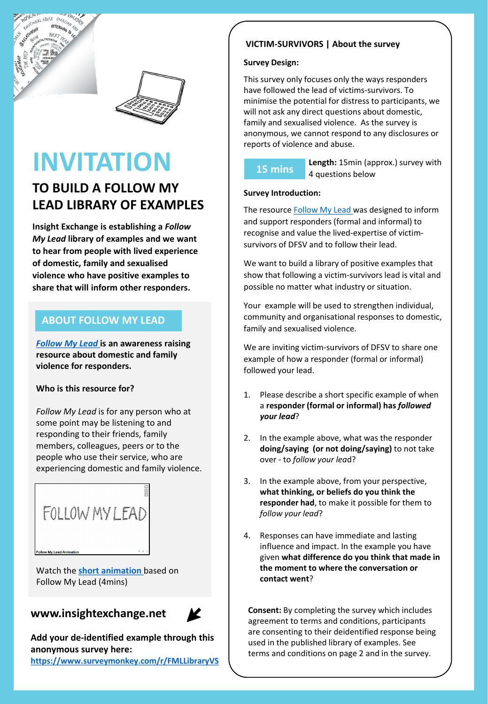



# **INVITATION**

# **TO BUILD A FOLLOW MY LEAD LIBRARY OF EXAMPLES**

**Insight Exchange is establishing a** *Follow My Lead* **library of examples and we want to hear from people with lived experience of domestic, family and sexualised violence who have positive examples to share that will inform other responders.** 

### **ABOUT FOLLOW MY LEAD**

*[Follow My Lead](https://www.insightexchange.net/follow-my-lead/)* **is an awareness raising resource about domestic and family violence for responders.**

#### **Who is this resource for?**

*Follow My Lead* is for any person who at some point may be listening to and responding to their friends, family members, colleagues, peers or to the people who use their service, who are experiencing domestic and family violence.



Watch the **[short animation](https://vimeo.com/468850972)** based on Follow My Lead (4mins)



**Add your de-identified example through this anonymous survey here: <https://www.surveymonkey.com/r/FMLLibraryVS>**

#### **VICTIM-SURVIVORS | About the survey**

#### **Survey Design:**

This survey only focuses only the ways responders have followed the lead of victims-survivors. To minimise the potential for distress to participants, we will not ask any direct questions about domestic, family and sexualised violence. As the survey is anonymous, we cannot respond to any disclosures or reports of violence and abuse.

## **15 mins**

**Length:** 15min (approx.) survey with 4 questions below

#### **Survey Introduction:**

The resource [Follow My Lead w](https://www.insightexchange.net/follow-my-lead/)as designed to inform and support responders (formal and informal) to recognise and value the lived-expertise of victimsurvivors of DFSV and to follow their lead.

We want to build a library of positive examples that show that following a victim-survivors lead is vital and possible no matter what industry or situation.

Your example will be used to strengthen individual, community and organisational responses to domestic, family and sexualised violence.

We are inviting victim-survivors of DFSV to share one example of how a responder (formal or informal) followed your lead.

- 1. Please describe a short specific example of when a **responder (formal or informal) has** *followed your lead*?
- 2. In the example above, what was the responder **doing/saying (or not doing/saying)** to not take over - to *follow your lea*d?
- 3. In the example above, from your perspective, **what thinking, or beliefs do you think the responder had**, to make it possible for them to *follow your lead*?
- 4. Responses can have immediate and lasting influence and impact. In the example you have given **what difference do you think that made in the moment to where the conversation or contact went**?

**www.insightexchange.net**  $\mathbb{Z}$  | Consent: By completing the survey which includes agreement to terms and conditions, participants are consenting to their deidentified response being used in the published library of examples. See terms and conditions on page 2 and in the survey.